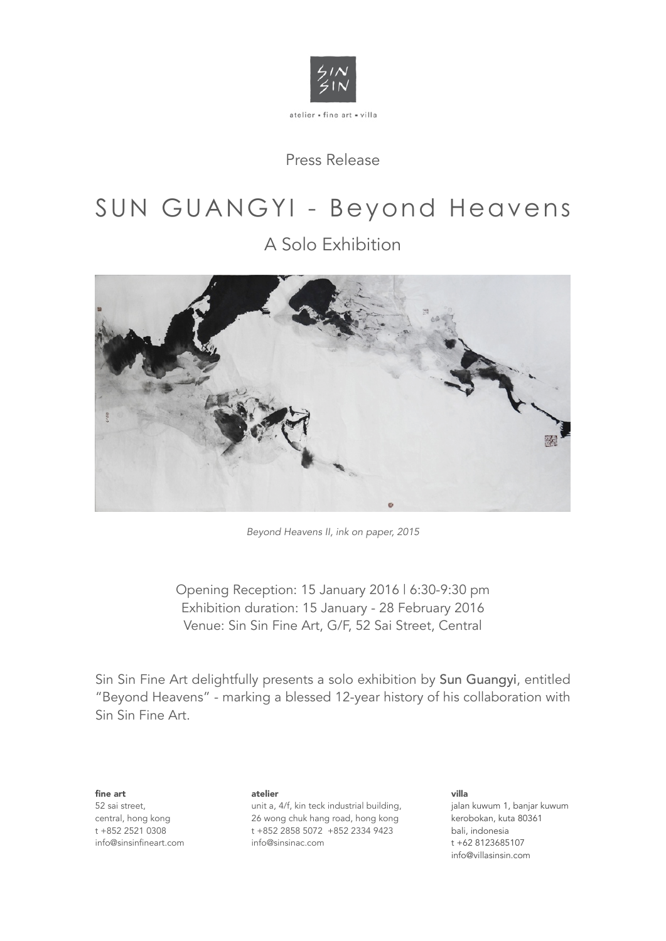

Press Release

# SUN GUANGYI - Beyond Heavens

A Solo Exhibition



*Beyond Heavens II, ink on paper, 2015*

Opening Reception: 15 January 2016 | 6:30-9:30 pm Exhibition duration: 15 January - 28 February 2016 Venue: Sin Sin Fine Art, G/F, 52 Sai Street, Central

Sin Sin Fine Art delightfully presents a solo exhibition by Sun Guangyi, entitled "Beyond Heavens" - marking a blessed 12-year history of his collaboration with Sin Sin Fine Art.

fine art 52 sai street, central, hong kong t +852 2521 0308 [info@sinsinfineart.com](mailto:info@sinsin.com.hk) atelier

unit a, 4/f, kin teck industrial building, 26 wong chuk hang road, hong kong t +852 2858 5072 +852 2334 9423 [info@sinsinac.com](mailto:info@sinsinfineart.com.hk)

villa jalan kuwum 1, banjar kuwum kerobokan, kuta 80361 bali, indonesia t +62 8123685107 [info@villasinsin.com](mailto:info@villasinsin.com)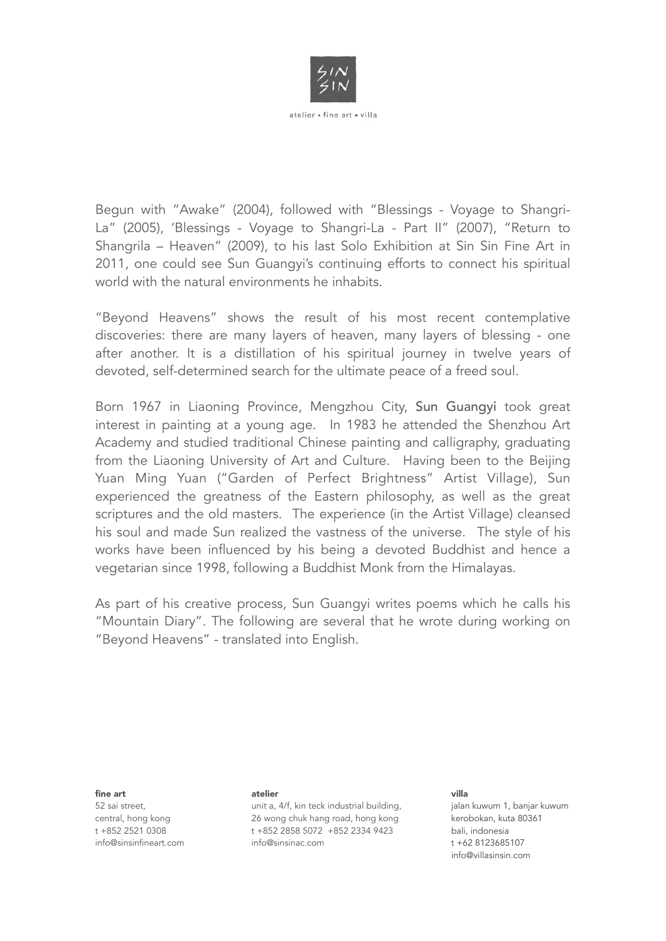

Begun with "Awake" (2004), followed with "Blessings - Voyage to Shangri-La" (2005), 'Blessings - Voyage to Shangri-La - Part II" (2007), "Return to Shangrila – Heaven" (2009), to his last Solo Exhibition at Sin Sin Fine Art in 2011, one could see Sun Guangyi's continuing efforts to connect his spiritual world with the natural environments he inhabits.

"Beyond Heavens" shows the result of his most recent contemplative discoveries: there are many layers of heaven, many layers of blessing - one after another. It is a distillation of his spiritual journey in twelve years of devoted, self-determined search for the ultimate peace of a freed soul.

Born 1967 in Liaoning Province, Mengzhou City, Sun Guangyi took great interest in painting at a young age. In 1983 he attended the Shenzhou Art Academy and studied traditional Chinese painting and calligraphy, graduating from the Liaoning University of Art and Culture. Having been to the Beijing Yuan Ming Yuan ("Garden of Perfect Brightness" Artist Village), Sun experienced the greatness of the Eastern philosophy, as well as the great scriptures and the old masters. The experience (in the Artist Village) cleansed his soul and made Sun realized the vastness of the universe. The style of his works have been influenced by his being a devoted Buddhist and hence a vegetarian since 1998, following a Buddhist Monk from the Himalayas.

As part of his creative process, Sun Guangyi writes poems which he calls his "Mountain Diary". The following are several that he wrote during working on "Beyond Heavens" - translated into English.

fine art

52 sai street, central, hong kong t +852 2521 0308 [info@sinsinfineart.com](mailto:info@sinsin.com.hk)

## atelier

unit a, 4/f, kin teck industrial building, 26 wong chuk hang road, hong kong t +852 2858 5072 +852 2334 9423 [info@sinsinac.com](mailto:info@sinsinfineart.com.hk)

## villa

jalan kuwum 1, banjar kuwum kerobokan, kuta 80361 bali, indonesia t +62 8123685107 [info@villasinsin.com](mailto:info@villasinsin.com)